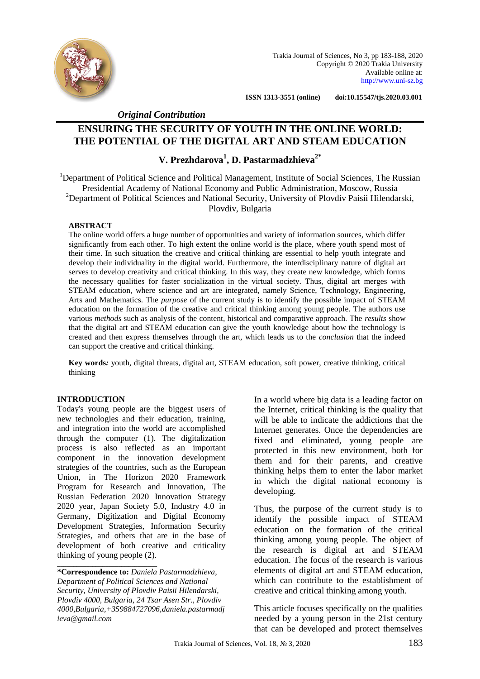

Trakia Journal of Sciences, No 3, pp 183-188, 2020 Copyright © 2020 Trakia University Available online at: [http://www.uni-sz.bg](http://www.uni-sz.bg/)

 **ISSN 1313-3551 (online) doi:10.15547/tjs.2020.03.001**

 *Original Contribution*

# **ENSURING THE SECURITY OF YOUTH IN THE ONLINE WORLD: THE POTENTIAL OF THE DIGITAL ART AND STEAM EDUCATION**

## **V. Prezhdarova<sup>1</sup> , D. Pastarmadzhieva2\***

<sup>1</sup>Department of Political Science and Political Management, Institute of Social Sciences, The Russian Presidential Academy of National Economy and Public Administration, Moscow, Russia <sup>2</sup>Department of Political Sciences and National Security, University of Plovdiv Paisii Hilendarski, Plovdiv, Bulgaria

#### **ABSTRACT**

The online world offers a huge number of opportunities and variety of information sources, which differ significantly from each other. To high extent the online world is the place, where youth spend most of their time. In such situation the creative and critical thinking are essential to help youth integrate and develop their individuality in the digital world. Furthermore, the interdisciplinary nature of digital art serves to develop creativity and critical thinking. In this way, they create new knowledge, which forms the necessary qualities for faster socialization in the virtual society. Thus, digital art merges with STEAM education, where science and art are integrated, namely Science, Technology, Engineering, Arts and Mathematics. The *purpose* of the current study is to identify the possible impact of STEAM education on the formation of the creative and critical thinking among young people. The authors use various *methods* such as analysis of the content, historical and comparative approach. The *results* show that the digital art and STEAM education can give the youth knowledge about how the technology is created and then express themselves through the art, which leads us to the *conclusion* that the indeed can support the creative and critical thinking.

**Key words***:* youth, digital threats, digital art, STEAM education, soft power, creative thinking, critical thinking

#### **INTRODUCTION**

Today's young people are the biggest users of new technologies and their education, training, and integration into the world are accomplished through the computer (1). The digitalization process is also reflected as an important component in the innovation development strategies of the countries, such as the European Union, in The Horizon 2020 Framework Program for Research and Innovation, The Russian Federation 2020 Innovation Strategy 2020 year, Japan Society 5.0, Industry 4.0 in Germany, Digitization and Digital Economy Development Strategies, Information Security Strategies, and others that are in the base of development of both creative and criticality thinking of young people (2). \_\_\_\_\_\_\_\_\_\_\_\_\_\_\_\_\_\_\_\_\_\_\_\_\_\_\_\_\_\_\_

In a world where big data is a leading factor on the Internet, critical thinking is the quality that will be able to indicate the addictions that the Internet generates. Once the dependencies are fixed and eliminated, young people are protected in this new environment, both for them and for their parents, and creative thinking helps them to enter the labor market in which the digital national economy is developing.

Thus, the purpose of the current study is to identify the possible impact of STEAM education on the formation of the critical thinking among young people. The object of the research is digital art and STEAM education. The focus of the research is various elements of digital art and STEAM education, which can contribute to the establishment of creative and critical thinking among youth.

This article focuses specifically on the qualities needed by a young person in the 21st century that can be developed and protect themselves

**<sup>\*</sup>Correspondence to:** *Daniela Pastarmadzhieva, Department of Political Sciences and National Security, University of Plovdiv Paisii Hilendarski, Plovdiv 4000, Bulgaria, 24 Tsar Asen Str., Plovdiv 4000,Bulgaria,+35988472709[6,daniela.pastarmadj](mailto:daniela.pastarmadjieva@gmail.com) [ieva@gmail.com](mailto:daniela.pastarmadjieva@gmail.com)*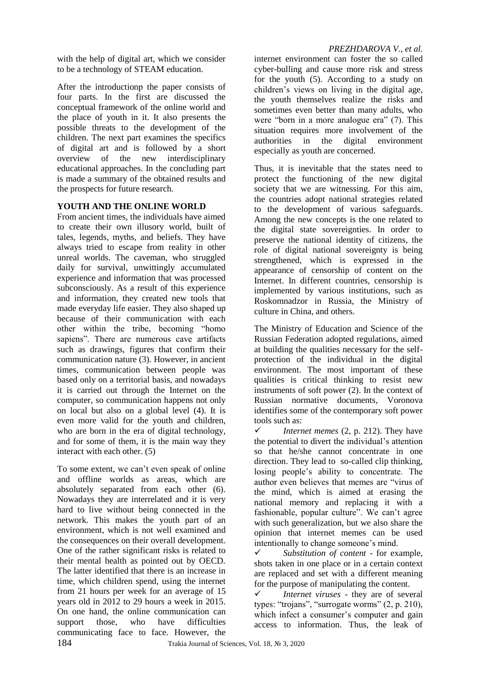with the help of digital art, which we consider to be a technology of STEAM education.

After the introductionр the paper consists of four parts. In the first are discussed the conceptual framework of the online world and the place of youth in it. It also presents the possible threats to the development of the children. The next part examines the specifics of digital art and is followed by a short overview of the new interdisciplinary educational approaches. In the concluding part is made a summary of the obtained results and the prospects for future research.

## **YOUTH AND THE ONLINE WORLD**

From ancient times, the individuals have aimed to create their own illusory world, built of tales, legends, myths, and beliefs. They have always tried to escape from reality in other unreal worlds. The caveman, who struggled daily for survival, unwittingly accumulated experience and information that was processed subconsciously. As a result of this experience and information, they created new tools that made everyday life easier. They also shaped up because of their communication with each other within the tribe, becoming "homo sapiens". There are numerous cave artifacts such as drawings, figures that confirm their communication nature (3). However, in ancient times, communication between people was based only on a territorial basis, and nowadays it is carried out through the Internet on the computer, so communication happens not only on local but also on a global level (4). It is even more valid for the youth and children, who are born in the era of digital technology, and for some of them, it is the main way they interact with each other. (5)

To some extent, we can't even speak of online and offline worlds as areas, which are absolutely separated from each other (6). Nowadays they are interrelated and it is very hard to live without being connected in the network. This makes the youth part of an environment, which is not well examined and the consequences on their overall development. One of the rather significant risks is related to their mental health as pointed out by OECD. The latter identified that there is an increase in time, which children spend, using the internet from 21 hours per week for an average of 15 years old in 2012 to 29 hours a week in 2015. On one hand, the online communication can support those, who have difficulties communicating face to face. However, the

internet environment can foster the so called cyber-bulling and cause more risk and stress for the youth (5). According to a study on children's views on living in the digital age, the youth themselves realize the risks and sometimes even better than many adults, who were "born in a more analogue era" (7). This situation requires more involvement of the authorities in the digital environment especially as youth are concerned.

Thus, it is inevitable that the states need to protect the functioning of the new digital society that we are witnessing. For this aim, the countries adopt national strategies related to the development of various safeguards. Among the new concepts is the one related to the digital state sovereignties. In order to preserve the national identity of citizens, the role of digital national sovereignty is being strengthened, which is expressed in the appearance of censorship of content on the Internet. In different countries, censorship is implemented by various institutions, such as Roskomnadzor in Russia, the Ministry of culture in China, and others.

The Ministry of Education and Science of the Russian Federation adopted regulations, aimed at building the qualities necessary for the selfprotection of the individual in the digital environment. The most important of these qualities is critical thinking to resist new instruments of soft power (2). In the context of Russian normative documents, Voronova identifies some of the contemporary soft power tools such as:

 $\checkmark$  Internet memes (2, p. 212). They have the potential to divert the individual's attention so that he/she cannot concentrate in one direction. They lead to so-called clip thinking, losing people's ability to concentrate. The author even believes that memes are "virus of the mind, which is aimed at erasing the national memory and replacing it with a fashionable, popular culture". We can't agree with such generalization, but we also share the opinion that internet memes can be used intentionally to change someone's mind.

 *Substitution of content* - for example, shots taken in one place or in a certain context are replaced and set with a different meaning for the purpose of manipulating the content.

 *Internet viruses* - they are of several types: "trojans", "surrogate worms" (2, p. 210), which infect a consumer's computer and gain access to information. Thus, the leak of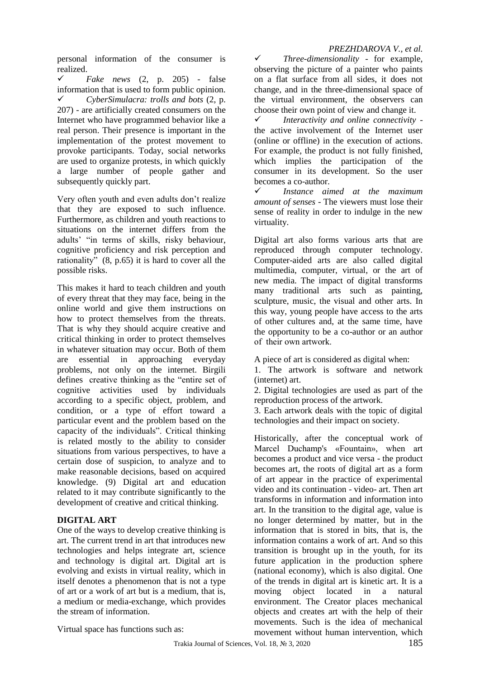#### *PREZHDAROVA V., et al.*

personal information of the consumer is realized.

 *Fake news* (2, p. 205) - false information that is used to form public opinion. *CyberSimulacra: trolls and bots* (2, p. 207) - are artificially created consumers on the Internet who have programmed behavior like a real person. Their presence is important in the implementation of the protest movement to provoke participants. Today, social networks are used to organize protests, in which quickly a large number of people gather and subsequently quickly part.

Very often youth and even adults don't realize that they are exposed to such influence. Furthermore, as children and youth reactions to situations on the internet differs from the adults' "in terms of skills, risky behaviour, cognitive proficiency and risk perception and rationality" (8, p.65) it is hard to cover all the possible risks.

This makes it hard to teach children and youth of every threat that they may face, being in the online world and give them instructions on how to protect themselves from the threats. That is why they should acquire creative and critical thinking in order to protect themselves in whatever situation may occur. Both of them are essential in approaching everyday problems, not only on the internet. Birgili defines creative thinking as the "entire set of cognitive activities used by individuals according to a specific object, problem, and condition, or a type of effort toward a particular event and the problem based on the capacity of the individuals". Critical thinking is related mostly to the ability to consider situations from various perspectives, to have a certain dose of suspicion, to analyze and to make reasonable decisions, based on acquired knowledge. (9) Digital art and education related to it may contribute significantly to the development of creative and critical thinking.

## **DIGITAL ART**

One of the ways to develop creative thinking is art. The current trend in art that introduces new technologies and helps integrate art, science and technology is digital art. Digital art is evolving and exists in virtual reality, which in itself denotes a phenomenon that is not a type of art or a work of art but is a medium, that is, a medium or media-exchange, which provides the stream of information.

 *Three-dimensionality* - for example, observing the picture of a painter who paints on a flat surface from all sides, it does not change, and in the three-dimensional space of the virtual environment, the observers can choose their own point of view and change it.

 *Interactivity and online connectivity* the active involvement of the Internet user (online or offline) in the execution of actions. For example, the product is not fully finished, which implies the participation of the consumer in its development. So the user becomes a co-author.

 *Instance aimed at the maximum amount of senses* - The viewers must lose their sense of reality in order to indulge in the new virtuality.

Digital art also forms various arts that are reproduced through computer technology. Computer-aided arts are also called digital multimedia, computer, virtual, or the art of new media. The impact of digital transforms many traditional arts such as painting, sculpture, music, the visual and other arts. In this way, young people have access to the arts of other cultures and, at the same time, have the opportunity to be a co-author or an author of their own аrtwork.

A piece of art is considered as digital when:

1. The artwork is software and network (internet) art.

2. Digital technologies are used as part of the reproduction process of the artwork.

3. Each artwork deals with the topic of digital technologies and their impact on society.

Historically, after the conceptual work of Marcel Duchamp's «Fountain», when art becomes a product and vice versa - the product becomes art, the roots of digital art as a form of art appear in the practice of experimental video and its continuation - video- art. Then art transforms in information and information into art. In the transition to the digital age, value is no longer determined by matter, but in the information that is stored in bits, that is, the information contains a work of art. And so this transition is brought up in the youth, for its future application in the production sphere (national economy), which is also digital. One of the trends in digital art is kinetic art. It is a moving object located in a natural environment. The Creator places mechanical objects and creates art with the help of their movements. Such is the idea of mechanical movement without human intervention, which

Virtual space has functions such as: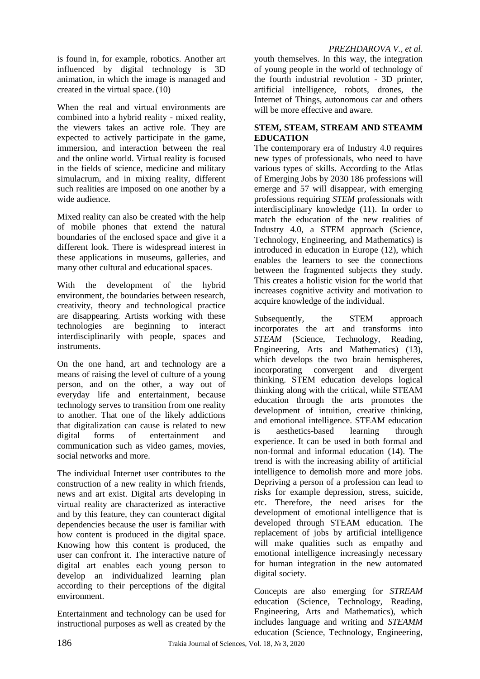#### *PREZHDAROVA V., et al.*

is found in, for example, robotics. Another art influenced by digital technology is 3D animation, in which the image is managed and created in the virtual space.(10)

When the real and virtual environments are combined into a hybrid reality - mixed reality, the viewers takes an active role. They are expected to actively participate in the game, immersion, and interaction between the real and the online world. Virtual reality is focused in the fields of science, medicine and military simulacrum, and in mixing reality, different such realities are imposed on one another by a wide audience.

Mixed reality can also be created with the help of mobile phones that extend the natural boundaries of the enclosed space and give it a different look. There is widespread interest in these applications in museums, galleries, and many other cultural and educational spaces.

With the development of the hybrid environment, the boundaries between research, creativity, theory and technological practice are disappearing. Artists working with these technologies are beginning to interact interdisciplinarily with people, spaces and instruments.

On the one hand, art and technology are a means of raising the level of culture of a young person, and on the other, a way out of everyday life and entertainment, because technology serves to transition from one reality to another. That one of the likely addictions that digitalization can cause is related to new digital forms of entertainment and communication such as video games, movies, social networks and more.

The individual Internet user contributes to the construction of a new reality in which friends, news and art exist. Digital arts developing in virtual reality are characterized as interactive and by this feature, they can counteract digital dependencies because the user is familiar with how content is produced in the digital space. Knowing how this content is produced, the user can confront it. The interactive nature of digital art enables each young person to develop an individualized learning plan according to their perceptions of the digital environment.

Entertainment and technology can be used for instructional purposes as well as created by the youth themselves. In this way, the integration of young people in the world of technology of the fourth industrial revolution - 3D printer, artificial intelligence, robots, drones, the Internet of Things, autonomous car and others will be more effective and aware.

### **STEM, STEAM, STREAM AND STEAMM EDUCATION**

The contemporary era of Industry 4.0 requires new types of professionals, who need to have various types of skills. According to the Atlas of Emerging Jobs by 2030 186 professions will emerge and 57 will disappear, with emerging professions requiring *STEM* professionals with interdisciplinary knowledge (11). In order to match the education of the new realities of Industry 4.0, a STEM approach (Science, Technology, Engineering, and Mathematics) is introduced in education in Europe (12), which enables the learners to see the connections between the fragmented subjects they study. This creates a holistic vision for the world that increases cognitive activity and motivation to acquire knowledge of the individual.

Subsequently, the STEM approach incorporates the art and transforms into *STEAM* (Science, Technology, Reading, Engineering, Arts and Mathematics) (13), which develops the two brain hemispheres, incorporating convergent and divergent thinking. STEM education develops logical thinking along with the critical, while STEAM education through the arts promotes the development of intuition, creative thinking, and emotional intelligence. STEAM education is aesthetics-based learning through experience. It can be used in both formal and non-formal and informal education (14). The trend is with the increasing ability of artificial intelligence to demolish more and more jobs. Depriving a person of a profession can lead to risks for example depression, stress, suicide, etc. Therefore, the need arises for the development of emotional intelligence that is developed through STEAM education. The replacement of jobs by artificial intelligence will make qualities such as empathy and emotional intelligence increasingly necessary for human integration in the new automated digital society.

Concepts are also emerging for *STREAM* education (Science, Technology, Reading, Engineering, Arts and Mathematics), which includes language and writing and *STEAMM* education (Science, Technology, Engineering,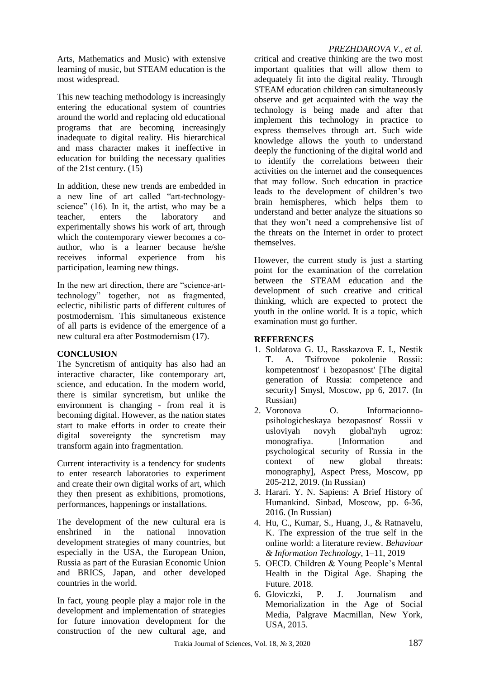Arts, Mathematics and Music) with extensive learning of music, but STEAM education is the most widespread.

This new teaching methodology is increasingly entering the educational system of countries around the world and replacing old educational programs that are becoming increasingly inadequate to digital reality. His hierarchical and mass character makes it ineffective in education for building the necessary qualities of the 21st century. (15)

In addition, these new trends are embedded in a new line of art called "art-technologyscience" (16). In it, the artist, who may be a teacher, enters the laboratory and experimentally shows his work of art, through which the contemporary viewer becomes a coauthor, who is a learner because he/she receives informal experience from his participation, learning new things.

In the new art direction, there are "science-arttechnology" together, not as fragmented, eclectic, nihilistic parts of different cultures of postmodernism. This simultaneous existence of all parts is evidence of the emergence of a new cultural era after Postmodernism (17).

## **CONCLUSION**

The Syncretism of antiquity has also had an interactive character, like contemporary art, science, and education. In the modern world, there is similar syncretism, but unlike the environment is changing - from real it is becoming digital. However, as the nation states start to make efforts in order to create their digital sovereignty the syncretism may transform again into fragmentation.

Current interactivity is a tendency for students to enter research laboratories to experiment and create their own digital works of art, which they then present as exhibitions, promotions, performances, happenings or installations.

The development of the new cultural era is enshrined in the national innovation development strategies of many countries, but especially in the USA, the European Union, Russia as part of the Eurasian Economic Union and BRICS, Japan, and other developed countries in the world.

In fact, young people play a major role in the development and implementation of strategies for future innovation development for the construction of the new cultural age, and

## *PREZHDAROVA V., et al.*

critical and creative thinking are the two most important qualities that will allow them to adequately fit into the digital reality. Through STEAM education children can simultaneously observe and get acquainted with the way the technology is being made and after that implement this technology in practice to express themselves through art. Such wide knowledge allows the youth to understand deeply the functioning of the digital world and to identify the correlations between their activities on the internet and the consequences that may follow. Such education in practice leads to the development of children's two brain hemispheres, which helps them to understand and better analyze the situations so that they won't need a comprehensive list of the threats on the Internet in order to protect themselves.

However, the current study is just a starting point for the examination of the correlation between the STEAM education and the development of such creative and critical thinking, which are expected to protect the youth in the online world. It is a topic, which examination must go further.

### **REFERENCES**

- 1. Soldatova G. U., Rasskazova E. I., Nestik T. A. Tsifrovoe pokolenie Rossii: kompetentnost' i bezopasnost' [The digital generation of Russia: competence and security] Smysl, Moscow, pp 6, 2017. (In Russian)
- 2. Voronova O. Informacionnopsihologicheskaya bezopasnost' Rossii v usloviyah novyh global'nyh ugroz: monografiya. [Information and psychological security of Russia in the context of new global threats: monography], Aspect Press, Moscow, pp 205-212, 2019. (In Russian)
- 3. Harari. Y. N. Sapiens: A Brief History of Humankind. Sinbad, Moscow, pp. 6-36, 2016. (In Russian)
- 4. Hu, C., Kumar, S., Huang, J., & Ratnavelu, K. The expression of the true self in the online world: a literature review. *Behaviour & Information Technology*, 1–11, 2019
- 5. OECD. Children & Young People's Mental Health in the Digital Age. Shaping the Future. 2018.
- 6. Gloviczki, P. J. Journalism and Memorialization in the Age of Social Media, Palgrave Macmillan, New York, USA, 2015.